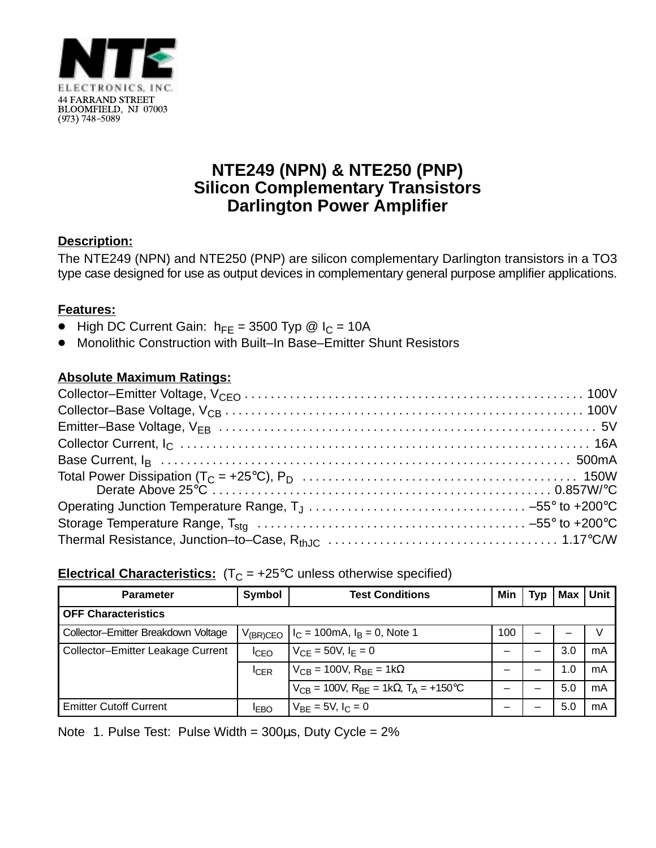

## **NTE249 (NPN) & NTE250 (PNP) Silicon Complementary Transistors Darlington Power Amplifier**

### **Description:**

The NTE249 (NPN) and NTE250 (PNP) are silicon complementary Darlington transistors in a TO3 type case designed for use as output devices in complementary general purpose amplifier applications.

#### **Features:**

- $\bullet$ High DC Current Gain:  $h_{FE} = 3500$  Typ @  $I_C = 10A$
- $\bullet$ Monolithic Construction with Built–In Base–Emitter Shunt Resistors

### **Absolute Maximum Ratings:**

#### **Electrical Characteristics:**  $(T_C = +25^{\circ}C$  unless otherwise specified)

| <b>Parameter</b>                    | Symbol        | <b>Test Conditions</b>                                                    | Min | Typ | Max | Unit |  |  |
|-------------------------------------|---------------|---------------------------------------------------------------------------|-----|-----|-----|------|--|--|
| <b>OFF Characteristics</b>          |               |                                                                           |     |     |     |      |  |  |
| Collector-Emitter Breakdown Voltage | $V_{(BR)CEO}$ | $I_C = 100 \text{mA}, I_B = 0$ , Note 1                                   | 100 | —   |     | V    |  |  |
| Collector-Emitter Leakage Current   | $I_{CEO}$     | $V_{CF} = 50V, I_F = 0$                                                   |     | —   | 3.0 | mA   |  |  |
|                                     | <b>ICER</b>   | $V_{CB}$ = 100V, $R_{BF}$ = 1k $\Omega$                                   |     |     | 1.0 | mA   |  |  |
|                                     |               | $V_{CB}$ = 100V, R <sub>BF</sub> = 1k $\Omega$ , T <sub>A</sub> = +150 °C |     |     | 5.0 | mA   |  |  |
| <b>Emitter Cutoff Current</b>       | <b>IEBO</b>   | $V_{BF} = 5V, I_C = 0$                                                    |     |     | 5.0 | mA   |  |  |

Note 1. Pulse Test: Pulse Width =  $300\mu s$ , Duty Cycle =  $2\%$